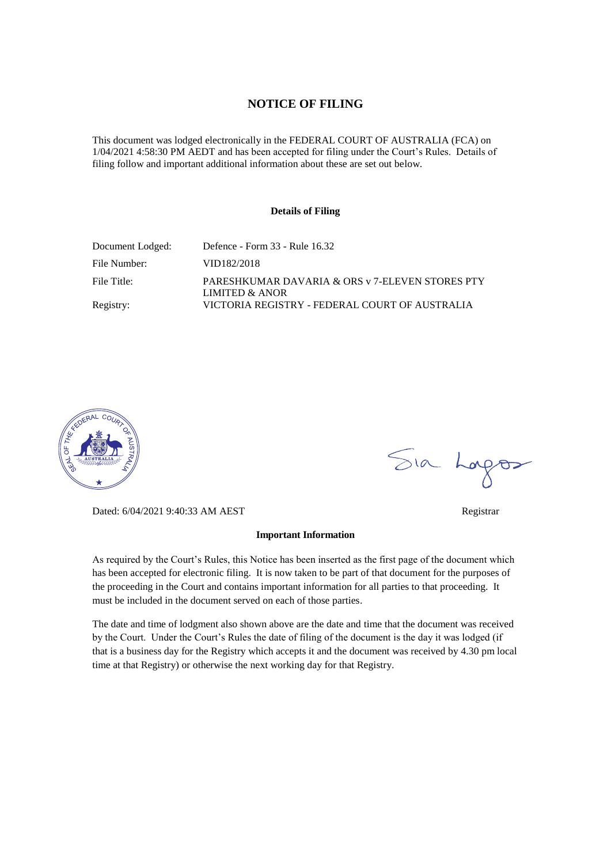## **NOTICE OF FILING**

This document was lodged electronically in the FEDERAL COURT OF AUSTRALIA (FCA) on 1/04/2021 4:58:30 PM AEDT and has been accepted for filing under the Court's Rules. Details of filing follow and important additional information about these are set out below.

#### **Details of Filing**

| Document Lodged: | Defence - Form 33 - Rule 16.32                                    |
|------------------|-------------------------------------------------------------------|
| File Number:     | VID182/2018                                                       |
| File Title:      | PARESHKUMAR DAVARIA & ORS v 7-ELEVEN STORES PTY<br>LIMITED & ANOR |
| Registry:        | VICTORIA REGISTRY - FEDERAL COURT OF AUSTRALIA                    |



Dated: 6/04/2021 9:40:33 AM AEST Registrar

#### **Important Information**

As required by the Court's Rules, this Notice has been inserted as the first page of the document which has been accepted for electronic filing. It is now taken to be part of that document for the purposes of the proceeding in the Court and contains important information for all parties to that proceeding. It must be included in the document served on each of those parties.

The date and time of lodgment also shown above are the date and time that the document was received by the Court. Under the Court's Rules the date of filing of the document is the day it was lodged (if that is a business day for the Registry which accepts it and the document was received by 4.30 pm local time at that Registry) or otherwise the next working day for that Registry.

Sia Logos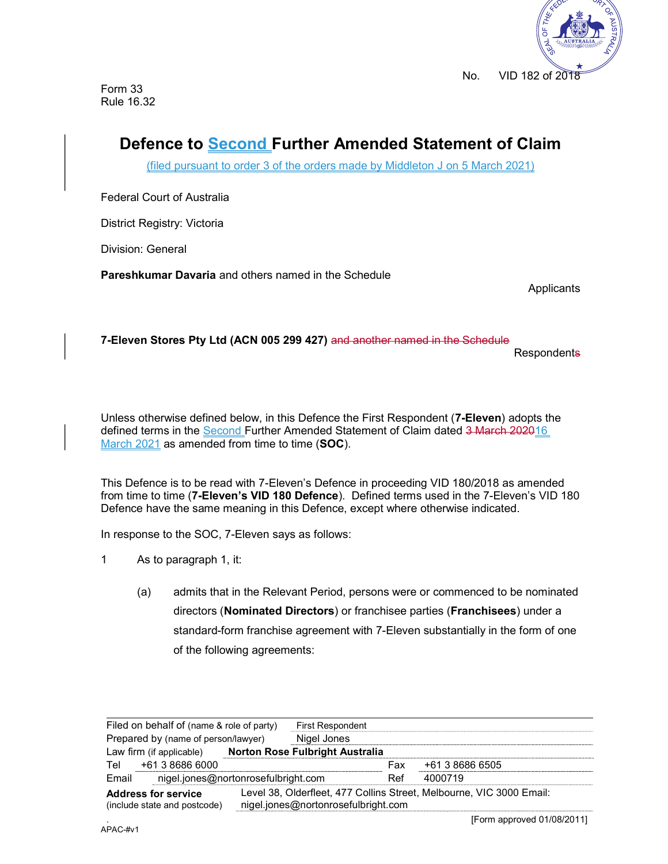

Form 33 Rule 16.32

# Defence to Second Further Amended Statement of Claim

(filed pursuant to order 3 of the orders made by Middleton J on 5 March 2021)

Federal Court of Australia

District Registry: Victoria

Division: General

Pareshkumar Davaria and others named in the Schedule

Applicants

7-Eleven Stores Pty Ltd (ACN 005 299 427) and another named in the Schedule

**Respondents** 

Unless otherwise defined below, in this Defence the First Respondent (7-Eleven) adopts the defined terms in the Second Further Amended Statement of Claim dated 3 March 202016 March 2021 as amended from time to time (SOC).

This Defence is to be read with 7-Eleven's Defence in proceeding VID 180/2018 as amended from time to time (7-Eleven's VID 180 Defence). Defined terms used in the 7-Eleven's VID 180 Defence have the same meaning in this Defence, except where otherwise indicated.

In response to the SOC, 7-Eleven says as follows:

- 1 As to paragraph 1, it:
	- (a) admits that in the Relevant Period, persons were or commenced to be nominated directors (Nominated Directors) or franchisee parties (Franchisees) under a standard-form franchise agreement with 7-Eleven substantially in the form of one of the following agreements:

| Filed on behalf of (name & role of party)                  |  | <b>First Respondent</b>                |         |                                                                      |  |
|------------------------------------------------------------|--|----------------------------------------|---------|----------------------------------------------------------------------|--|
| Prepared by (name of person/lawyer)                        |  | Nigel Jones                            |         |                                                                      |  |
| Law firm (if applicable)                                   |  | <b>Norton Rose Fulbright Australia</b> |         |                                                                      |  |
| +61 3 8686 6000<br>Tel                                     |  |                                        | Fax     | +61 3 8686 6505                                                      |  |
| nigel.jones@nortonrosefulbright.com<br>Email               |  | Ref                                    | 4000719 |                                                                      |  |
| <b>Address for service</b><br>(include state and postcode) |  | nigel.jones@nortonrosefulbright.com    |         | Level 38, Olderfleet, 477 Collins Street, Melbourne, VIC 3000 Email: |  |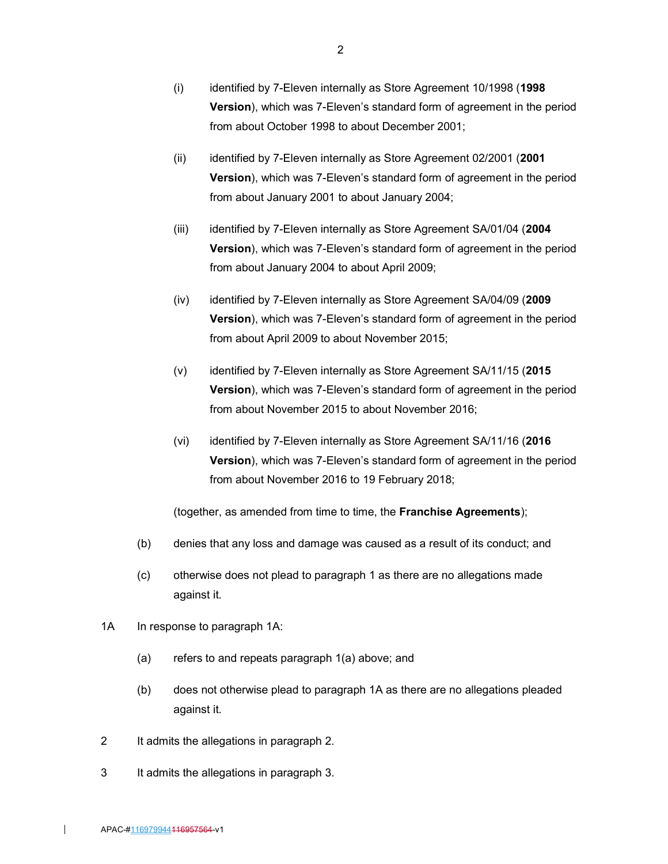- (i) identified by 7-Eleven internally as Store Agreement 10/1998 (1998 Version), which was 7-Eleven's standard form of agreement in the period from about October 1998 to about December 2001;
- (ii) identified by 7-Eleven internally as Store Agreement 02/2001 (2001 Version), which was 7-Eleven's standard form of agreement in the period from about January 2001 to about January 2004;
- (iii) identified by 7-Eleven internally as Store Agreement SA/01/04 (2004) Version), which was 7-Eleven's standard form of agreement in the period from about January 2004 to about April 2009;
- (iv) identified by 7-Eleven internally as Store Agreement SA/04/09 (2009 Version), which was 7-Eleven's standard form of agreement in the period from about April 2009 to about November 2015;
- (v) identified by 7-Eleven internally as Store Agreement SA/11/15 (2015 Version), which was 7-Eleven's standard form of agreement in the period from about November 2015 to about November 2016;
- (vi) identified by 7-Eleven internally as Store Agreement SA/11/16 (2016 Version), which was 7-Eleven's standard form of agreement in the period from about November 2016 to 19 February 2018;

(together, as amended from time to time, the Franchise Agreements);

- (b) denies that any loss and damage was caused as a result of its conduct; and
- (c) otherwise does not plead to paragraph 1 as there are no allegations made against it.
- 1A In response to paragraph 1A:
	- (a) refers to and repeats paragraph 1(a) above; and
	- (b) does not otherwise plead to paragraph 1A as there are no allegations pleaded against it.
- 2 It admits the allegations in paragraph 2.
- 3 It admits the allegations in paragraph 3.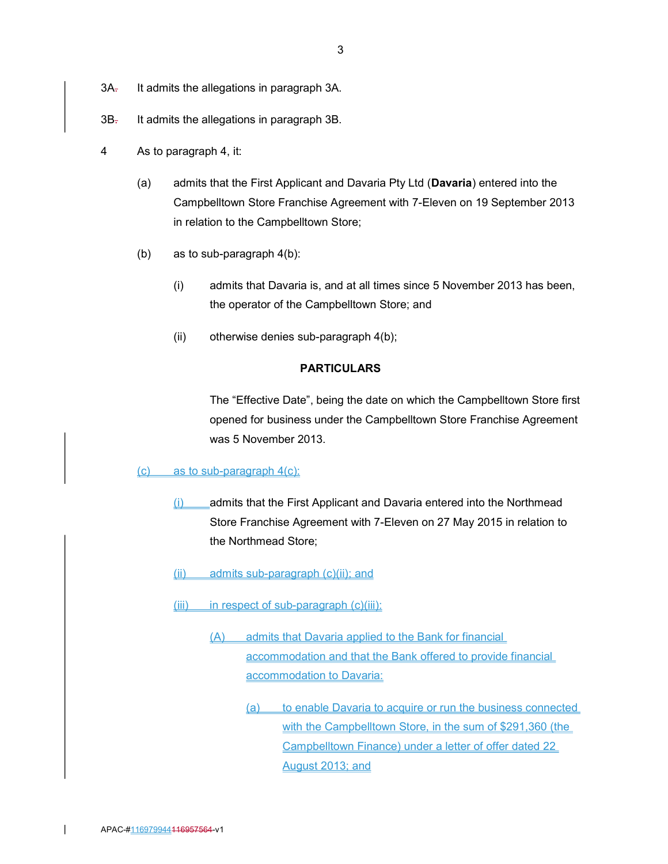- 3A<sub>r</sub> It admits the allegations in paragraph 3A.
- 3B. It admits the allegations in paragraph 3B.
- 4 As to paragraph 4, it:
	- (a) admits that the First Applicant and Davaria Pty Ltd (Davaria) entered into the Campbelltown Store Franchise Agreement with 7-Eleven on 19 September 2013 in relation to the Campbelltown Store;
	- (b) as to sub-paragraph 4(b):
		- (i) admits that Davaria is, and at all times since 5 November 2013 has been, the operator of the Campbelltown Store; and
		- (ii) otherwise denies sub-paragraph 4(b);

## PARTICULARS

The "Effective Date", being the date on which the Campbelltown Store first opened for business under the Campbelltown Store Franchise Agreement was 5 November 2013.

#### $(c)$  as to sub-paragraph  $4(c)$ :

- (i) admits that the First Applicant and Davaria entered into the Northmead Store Franchise Agreement with 7-Eleven on 27 May 2015 in relation to the Northmead Store;
- (ii) admits sub-paragraph (c)(ii); and
- (iii) in respect of sub-paragraph (c)(iii):
	- (A) admits that Davaria applied to the Bank for financial accommodation and that the Bank offered to provide financial accommodation to Davaria:
		- (a) to enable Davaria to acquire or run the business connected with the Campbelltown Store, in the sum of \$291,360 (the Campbelltown Finance) under a letter of offer dated 22 August 2013; and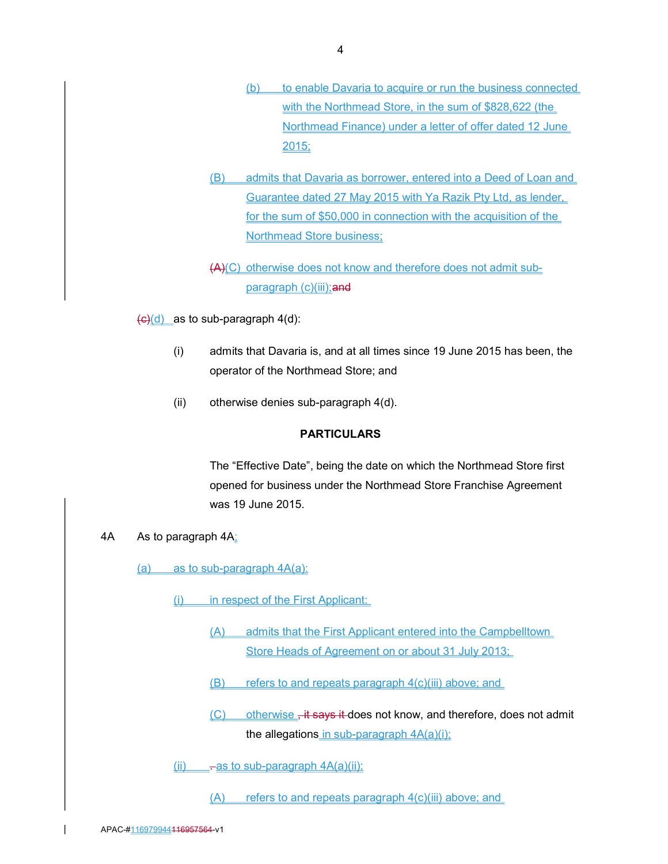- (b) to enable Davaria to acquire or run the business connected with the Northmead Store, in the sum of \$828,622 (the Northmead Finance) under a letter of offer dated 12 June 2015;
- (B) admits that Davaria as borrower, entered into a Deed of Loan and Guarantee dated 27 May 2015 with Ya Razik Pty Ltd, as lender, for the sum of \$50,000 in connection with the acquisition of the Northmead Store business;

(A)(C) otherwise does not know and therefore does not admit subparagraph (c)(iii); and

 $\left(\frac{c}{d}\right)$  as to sub-paragraph 4(d):

- (i) admits that Davaria is, and at all times since 19 June 2015 has been, the operator of the Northmead Store; and
- (ii) otherwise denies sub-paragraph 4(d).

## PARTICULARS

The "Effective Date", being the date on which the Northmead Store first opened for business under the Northmead Store Franchise Agreement was 19 June 2015.

#### 4A As to paragraph 4A:

 $(a)$  as to sub-paragraph  $4A(a)$ :

- (i) in respect of the First Applicant:
	- (A) admits that the First Applicant entered into the Campbelltown Store Heads of Agreement on or about 31 July 2013;
	- (B) refers to and repeats paragraph 4(c)(iii) above; and
	- (C) otherwise, it says it does not know, and therefore, does not admit the allegations in sub-paragraph  $4A(a)(i)$ ;

 $(iii)$  -as to sub-paragraph  $4A(a)(ii)$ :

 $(A)$  refers to and repeats paragraph  $4(c)(iii)$  above; and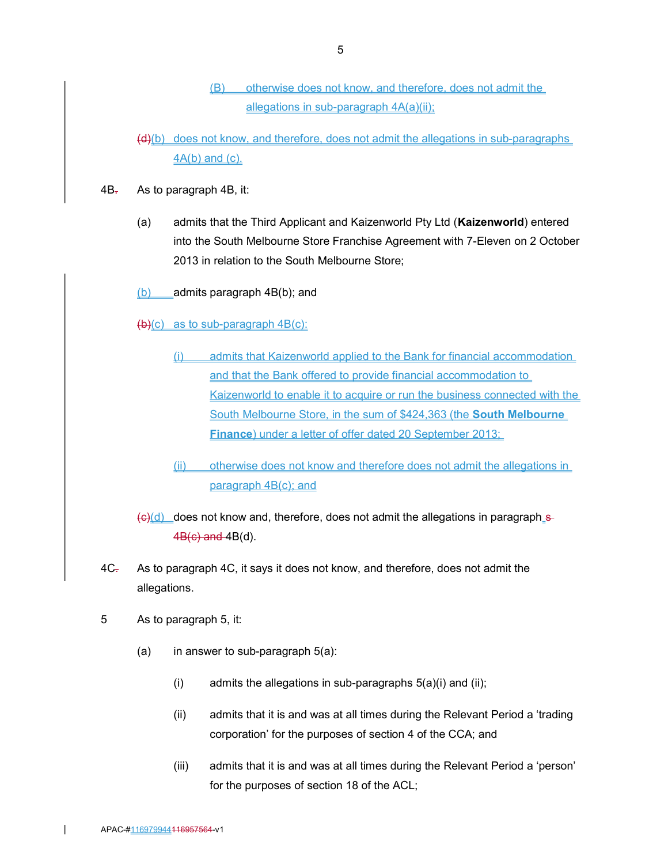- (B) otherwise does not know, and therefore, does not admit the allegations in sub-paragraph  $4A(a)(ii)$ ;
- (d)(b) does not know, and therefore, does not admit the allegations in sub-paragraphs 4A(b) and (c).
- 4B. As to paragraph 4B, it:
	- (a) admits that the Third Applicant and Kaizenworld Pty Ltd (Kaizenworld) entered into the South Melbourne Store Franchise Agreement with 7-Eleven on 2 October 2013 in relation to the South Melbourne Store;
	- $(b)$  admits paragraph 4B(b); and
	- $(b)(c)$  as to sub-paragraph  $4B(c)$ :
		- (i) admits that Kaizenworld applied to the Bank for financial accommodation and that the Bank offered to provide financial accommodation to Kaizenworld to enable it to acquire or run the business connected with the South Melbourne Store, in the sum of \$424,363 (the South Melbourne Finance) under a letter of offer dated 20 September 2013;
		- (ii) otherwise does not know and therefore does not admit the allegations in paragraph 4B(c); and
	- $\left(\frac{c}{c}\right)$  does not know and, therefore, does not admit the allegations in paragraph s- $4B(c)$  and  $4B(d)$ .
- 4C<sub>r</sub> As to paragraph 4C, it says it does not know, and therefore, does not admit the allegations.
- 5 As to paragraph 5, it:
	- (a) in answer to sub-paragraph  $5(a)$ :
		- (i) admits the allegations in sub-paragraphs  $5(a)(i)$  and (ii);
		- (ii) admits that it is and was at all times during the Relevant Period a 'trading corporation' for the purposes of section 4 of the CCA; and
		- (iii) admits that it is and was at all times during the Relevant Period a 'person' for the purposes of section 18 of the ACL;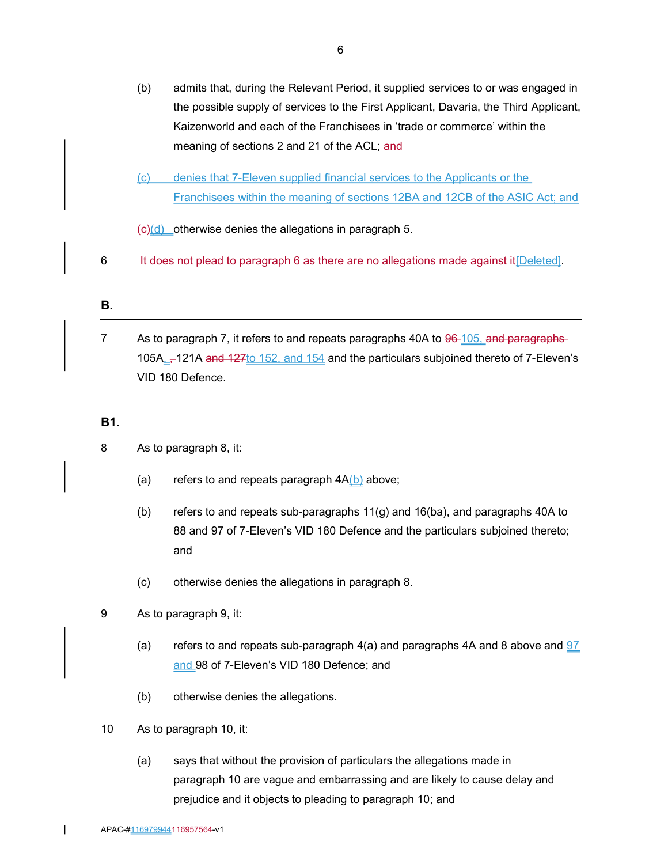- (b) admits that, during the Relevant Period, it supplied services to or was engaged in the possible supply of services to the First Applicant, Davaria, the Third Applicant, Kaizenworld and each of the Franchisees in 'trade or commerce' within the meaning of sections 2 and 21 of the ACL; and
- (c) denies that 7-Eleven supplied financial services to the Applicants or the Franchisees within the meaning of sections 12BA and 12CB of the ASIC Act; and

 $\left(\frac{c}{c}\right)$  otherwise denies the allegations in paragraph 5.

6  $\blacksquare$  It does not plead to paragraph 6 as there are no allegations made against it [Deleted].

#### B.

7 As to paragraph 7, it refers to and repeats paragraphs 40A to 96-105, and paragraphs-105A<sub>--</sub>-121A and  $127$  to  $152$ , and  $154$  and the particulars subjoined thereto of 7-Eleven's VID 180 Defence.

## B1.

- 8 As to paragraph 8, it:
	- (a) refers to and repeats paragraph  $4A(b)$  above;
	- (b) refers to and repeats sub-paragraphs 11(g) and 16(ba), and paragraphs 40A to 88 and 97 of 7-Eleven's VID 180 Defence and the particulars subjoined thereto; and
	- (c) otherwise denies the allegations in paragraph 8.
- 9 As to paragraph 9, it:
	- (a) refers to and repeats sub-paragraph  $4(a)$  and paragraphs 4A and 8 above and  $97$ and 98 of 7-Eleven's VID 180 Defence; and
	- (b) otherwise denies the allegations.
- 10 As to paragraph 10, it:
	- (a) says that without the provision of particulars the allegations made in paragraph 10 are vague and embarrassing and are likely to cause delay and prejudice and it objects to pleading to paragraph 10; and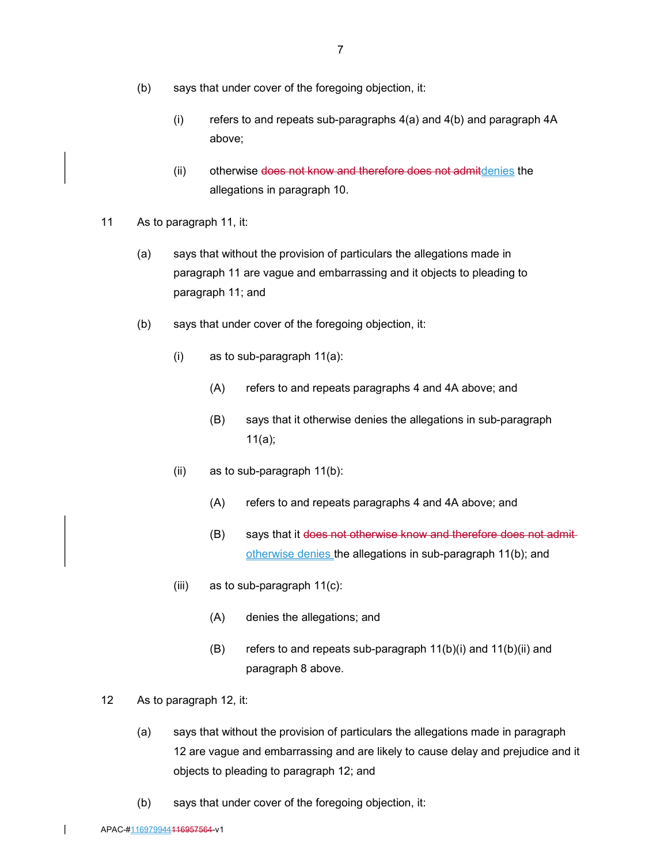- (b) says that under cover of the foregoing objection, it:
	- (i) refers to and repeats sub-paragraphs 4(a) and 4(b) and paragraph 4A above;
	- (ii) otherwise does not know and therefore does not admitdenies the allegations in paragraph 10.
- 11 As to paragraph 11, it:
	- (a) says that without the provision of particulars the allegations made in paragraph 11 are vague and embarrassing and it objects to pleading to paragraph 11; and
	- (b) says that under cover of the foregoing objection, it:
		- (i) as to sub-paragraph 11(a):
			- (A) refers to and repeats paragraphs 4 and 4A above; and
			- (B) says that it otherwise denies the allegations in sub-paragraph 11(a);
		- (ii) as to sub-paragraph 11(b):
			- (A) refers to and repeats paragraphs 4 and 4A above; and
			- (B) says that it does not otherwise know and therefore does not admitotherwise denies the allegations in sub-paragraph 11(b); and
		- (iii) as to sub-paragraph 11(c):
			- (A) denies the allegations; and
			- (B) refers to and repeats sub-paragraph 11(b)(i) and 11(b)(ii) and paragraph 8 above.
- 12 As to paragraph 12, it:
	- (a) says that without the provision of particulars the allegations made in paragraph 12 are vague and embarrassing and are likely to cause delay and prejudice and it objects to pleading to paragraph 12; and
	- (b) says that under cover of the foregoing objection, it: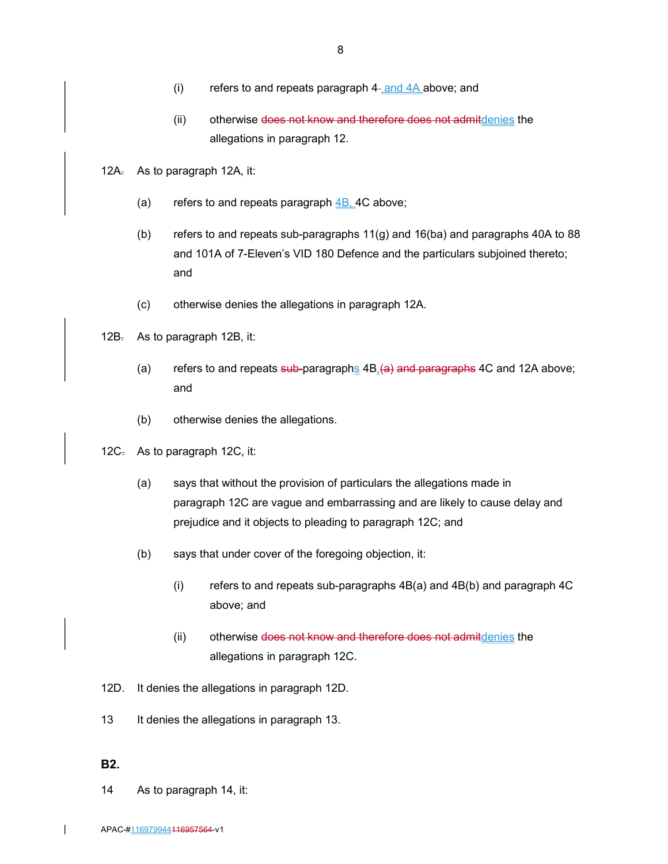- (i) refers to and repeats paragraph  $4-$  and  $4A$  above; and
- (ii) otherwise does not know and therefore does not admitdenies the allegations in paragraph 12.
- 12A. As to paragraph 12A, it:
	- (a) refers to and repeats paragraph  $4B$ , 4C above;
	- (b) refers to and repeats sub-paragraphs 11(g) and 16(ba) and paragraphs 40A to 88 and 101A of 7-Eleven's VID 180 Defence and the particulars subjoined thereto; and
	- (c) otherwise denies the allegations in paragraph 12A.
- 12B<sub>r</sub> As to paragraph 12B, it:
	- (a) refers to and repeats sub-paragraphs  $4B<sub>a</sub>(a)$  and paragraphs 4C and 12A above; and
	- (b) otherwise denies the allegations.
- 12C<sub>7</sub> As to paragraph 12C, it:
	- (a) says that without the provision of particulars the allegations made in paragraph 12C are vague and embarrassing and are likely to cause delay and prejudice and it objects to pleading to paragraph 12C; and
	- (b) says that under cover of the foregoing objection, it:
		- (i) refers to and repeats sub-paragraphs 4B(a) and 4B(b) and paragraph 4C above; and
		- (ii) otherwise does not know and therefore does not admitdenies the allegations in paragraph 12C.
- 12D. It denies the allegations in paragraph 12D.
- 13 It denies the allegations in paragraph 13.

## B2.

14 As to paragraph 14, it: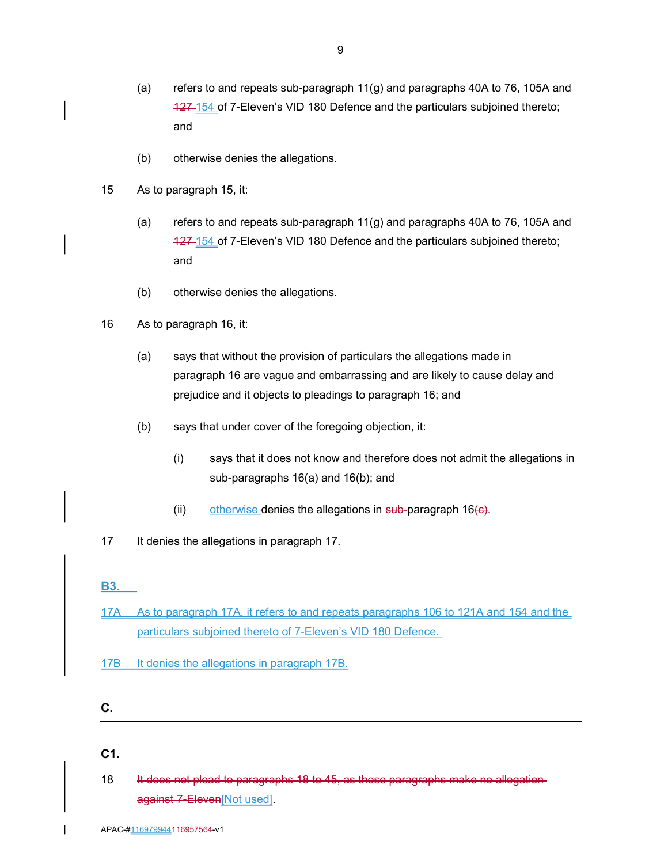- (a) refers to and repeats sub-paragraph 11(g) and paragraphs 40A to 76, 105A and 127-154 of 7-Eleven's VID 180 Defence and the particulars subjoined thereto; and
- (b) otherwise denies the allegations.
- 15 As to paragraph 15, it:
	- (a) refers to and repeats sub-paragraph 11(g) and paragraphs 40A to 76, 105A and 127 154 of 7-Eleven's VID 180 Defence and the particulars subjoined thereto; and
	- (b) otherwise denies the allegations.
- 16 As to paragraph 16, it:
	- (a) says that without the provision of particulars the allegations made in paragraph 16 are vague and embarrassing and are likely to cause delay and prejudice and it objects to pleadings to paragraph 16; and
	- (b) says that under cover of the foregoing objection, it:
		- (i) says that it does not know and therefore does not admit the allegations in sub-paragraphs 16(a) and 16(b); and
		- (ii) otherwise denies the allegations in sub-paragraph  $16(e)$ .
- 17 It denies the allegations in paragraph 17.

B3.

- 17A As to paragraph 17A, it refers to and repeats paragraphs 106 to 121A and 154 and the particulars subjoined thereto of 7-Eleven's VID 180 Defence.
- 17B It denies the allegations in paragraph 17B.

#### C.

## C1.

18 It does not plead to paragraphs 18 to 45, as those paragraphs make no allegationagainst 7-Eleven[Not used].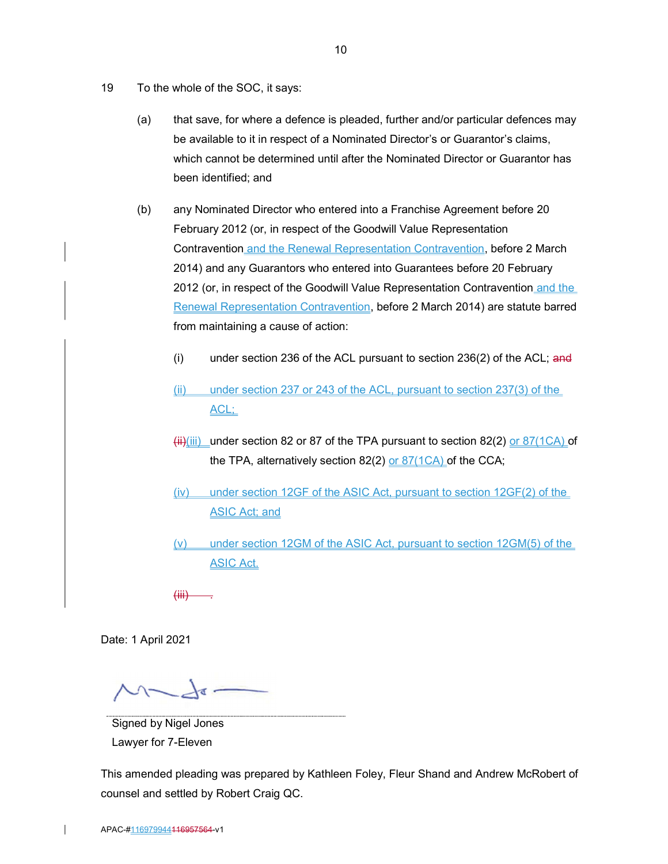- 19 To the whole of the SOC, it says:
	- (a) that save, for where a defence is pleaded, further and/or particular defences may be available to it in respect of a Nominated Director's or Guarantor's claims, which cannot be determined until after the Nominated Director or Guarantor has been identified; and
	- (b) any Nominated Director who entered into a Franchise Agreement before 20 February 2012 (or, in respect of the Goodwill Value Representation Contravention and the Renewal Representation Contravention, before 2 March 2014) and any Guarantors who entered into Guarantees before 20 February 2012 (or, in respect of the Goodwill Value Representation Contravention and the Renewal Representation Contravention, before 2 March 2014) are statute barred from maintaining a cause of action:
		- (i) under section 236 of the ACL pursuant to section  $236(2)$  of the ACL; and
		- (ii) under section 237 or 243 of the ACL, pursuant to section 237(3) of the ACL;
		- $\frac{1}{(ii)}$ (iii) under section 82 or 87 of the TPA pursuant to section 82(2) or 87(1CA) of the TPA, alternatively section 82(2) or  $87(1CA)$  of the CCA;
		- (iv) under section 12GF of the ASIC Act, pursuant to section 12GF(2) of the ASIC Act; and
		- (v) under section 12GM of the ASIC Act, pursuant to section 12GM(5) of the ASIC Act.

 $(HH)$ 

Date: 1 April 2021

 $\Lambda$  and and a

Signed by Nigel Jones Lawyer for 7-Eleven

This amended pleading was prepared by Kathleen Foley, Fleur Shand and Andrew McRobert of counsel and settled by Robert Craig QC.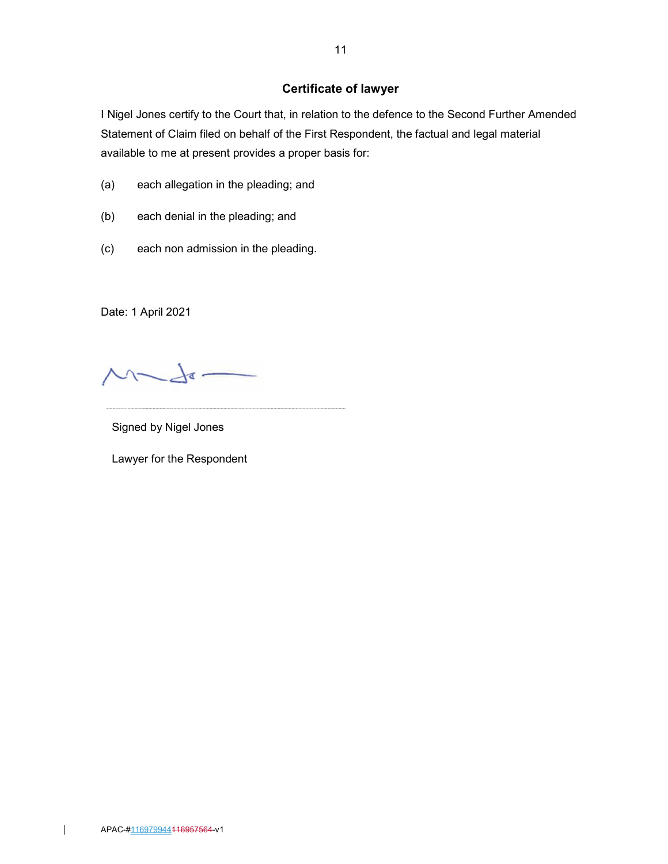# Certificate of lawyer

I Nigel Jones certify to the Court that, in relation to the defence to the Second Further Amended Statement of Claim filed on behalf of the First Respondent, the factual and legal material available to me at present provides a proper basis for:

- (a) each allegation in the pleading; and
- (b) each denial in the pleading; and
- (c) each non admission in the pleading.

Date: 1 April 2021

 $M-d-$ 

Signed by Nigel Jones

Lawyer for the Respondent